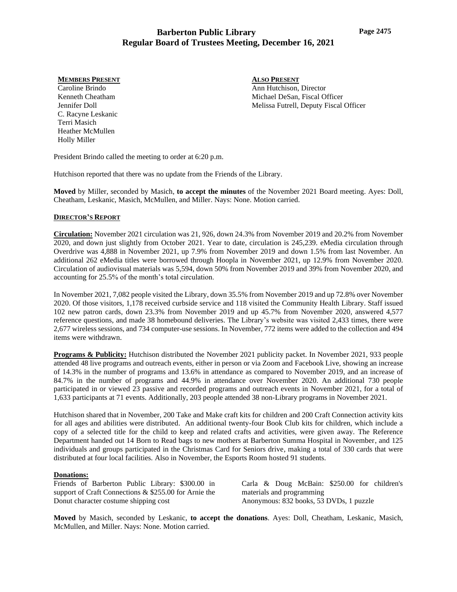#### **MEMBERS PRESENT**

Caroline Brindo Kenneth Cheatham Jennifer Doll C. Racyne Leskanic Terri Masich Heather McMullen Holly Miller

**ALSO PRESENT** Ann Hutchison, Director Michael DeSan, Fiscal Officer Melissa Futrell, Deputy Fiscal Officer

President Brindo called the meeting to order at 6:20 p.m.

Hutchison reported that there was no update from the Friends of the Library.

**Moved** by Miller, seconded by Masich, **to accept the minutes** of the November 2021 Board meeting. Ayes: Doll, Cheatham, Leskanic, Masich, McMullen, and Miller. Nays: None. Motion carried.

### **DIRECTOR'S REPORT**

**Circulation:** November 2021 circulation was 21, 926, down 24.3% from November 2019 and 20.2% from November 2020, and down just slightly from October 2021. Year to date, circulation is 245,239. eMedia circulation through Overdrive was 4,888 in November 2021, up 7.9% from November 2019 and down 1.5% from last November. An additional 262 eMedia titles were borrowed through Hoopla in November 2021, up 12.9% from November 2020. Circulation of audiovisual materials was 5,594, down 50% from November 2019 and 39% from November 2020, and accounting for 25.5% of the month's total circulation.

In November 2021, 7,082 people visited the Library, down 35.5% from November 2019 and up 72.8% over November 2020. Of those visitors, 1,178 received curbside service and 118 visited the Community Health Library. Staff issued 102 new patron cards, down 23.3% from November 2019 and up 45.7% from November 2020, answered 4,577 reference questions, and made 38 homebound deliveries. The Library's website was visited 2,433 times, there were 2,677 wireless sessions, and 734 computer-use sessions. In November, 772 items were added to the collection and 494 items were withdrawn.

**Programs & Publicity:** Hutchison distributed the November 2021 publicity packet. In November 2021, 933 people attended 48 live programs and outreach events, either in person or via Zoom and Facebook Live, showing an increase of 14.3% in the number of programs and 13.6% in attendance as compared to November 2019, and an increase of 84.7% in the number of programs and 44.9% in attendance over November 2020. An additional 730 people participated in or viewed 23 passive and recorded programs and outreach events in November 2021, for a total of 1,633 participants at 71 events. Additionally, 203 people attended 38 non-Library programs in November 2021.

Hutchison shared that in November, 200 Take and Make craft kits for children and 200 Craft Connection activity kits for all ages and abilities were distributed. An additional twenty-four Book Club kits for children, which include a copy of a selected title for the child to keep and related crafts and activities, were given away. The Reference Department handed out 14 Born to Read bags to new mothers at Barberton Summa Hospital in November, and 125 individuals and groups participated in the Christmas Card for Seniors drive, making a total of 330 cards that were distributed at four local facilities. Also in November, the Esports Room hosted 91 students.

### **Donations:**

Friends of Barberton Public Library: \$300.00 in support of Craft Connections & \$255.00 for Arnie the Donut character costume shipping cost

Carla & Doug McBain: \$250.00 for children's materials and programming Anonymous: 832 books, 53 DVDs, 1 puzzle

**Moved** by Masich, seconded by Leskanic, **to accept the donations**. Ayes: Doll, Cheatham, Leskanic, Masich, McMullen, and Miller. Nays: None. Motion carried.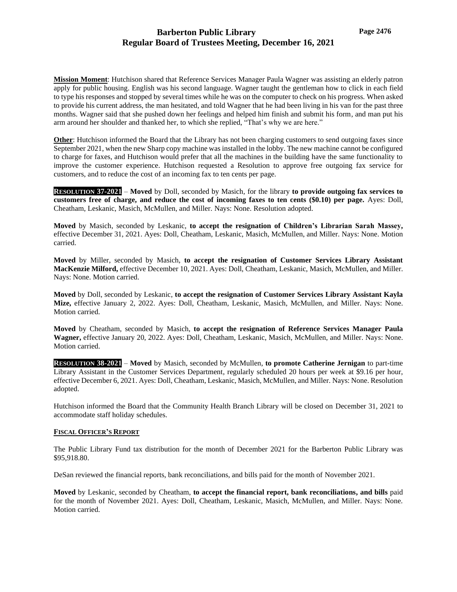**Mission Moment**: Hutchison shared that Reference Services Manager Paula Wagner was assisting an elderly patron apply for public housing. English was his second language. Wagner taught the gentleman how to click in each field to type his responses and stopped by several times while he was on the computer to check on his progress. When asked to provide his current address, the man hesitated, and told Wagner that he had been living in his van for the past three months. Wagner said that she pushed down her feelings and helped him finish and submit his form, and man put his arm around her shoulder and thanked her, to which she replied, "That's why we are here."

**Other**: Hutchison informed the Board that the Library has not been charging customers to send outgoing faxes since September 2021, when the new Sharp copy machine was installed in the lobby. The new machine cannot be configured to charge for faxes, and Hutchison would prefer that all the machines in the building have the same functionality to improve the customer experience. Hutchison requested a Resolution to approve free outgoing fax service for customers, and to reduce the cost of an incoming fax to ten cents per page.

**RESOLUTION 37-2021** – **Moved** by Doll, seconded by Masich, for the library **to provide outgoing fax services to customers free of charge, and reduce the cost of incoming faxes to ten cents (\$0.10) per page.** Ayes: Doll, Cheatham, Leskanic, Masich, McMullen, and Miller. Nays: None. Resolution adopted.

**Moved** by Masich, seconded by Leskanic, **to accept the resignation of Children's Librarian Sarah Massey,**  effective December 31, 2021. Ayes: Doll, Cheatham, Leskanic, Masich, McMullen, and Miller. Nays: None. Motion carried.

**Moved** by Miller, seconded by Masich, **to accept the resignation of Customer Services Library Assistant MacKenzie Milford,** effective December 10, 2021. Ayes: Doll, Cheatham, Leskanic, Masich, McMullen, and Miller. Nays: None. Motion carried.

**Moved** by Doll, seconded by Leskanic, **to accept the resignation of Customer Services Library Assistant Kayla Mize,** effective January 2, 2022. Ayes: Doll, Cheatham, Leskanic, Masich, McMullen, and Miller. Nays: None. Motion carried.

**Moved** by Cheatham, seconded by Masich, **to accept the resignation of Reference Services Manager Paula Wagner,** effective January 20, 2022. Ayes: Doll, Cheatham, Leskanic, Masich, McMullen, and Miller. Nays: None. Motion carried.

**RESOLUTION 38-2021** – **Moved** by Masich, seconded by McMullen, **to promote Catherine Jernigan** to part-time Library Assistant in the Customer Services Department, regularly scheduled 20 hours per week at \$9.16 per hour, effective December 6, 2021. Ayes: Doll, Cheatham, Leskanic, Masich, McMullen, and Miller. Nays: None. Resolution adopted.

Hutchison informed the Board that the Community Health Branch Library will be closed on December 31, 2021 to accommodate staff holiday schedules.

### **FISCAL OFFICER'S REPORT**

The Public Library Fund tax distribution for the month of December 2021 for the Barberton Public Library was \$95,918.80.

DeSan reviewed the financial reports, bank reconciliations, and bills paid for the month of November 2021.

**Moved** by Leskanic, seconded by Cheatham, **to accept the financial report, bank reconciliations, and bills** paid for the month of November 2021. Ayes: Doll, Cheatham, Leskanic, Masich, McMullen, and Miller. Nays: None. Motion carried.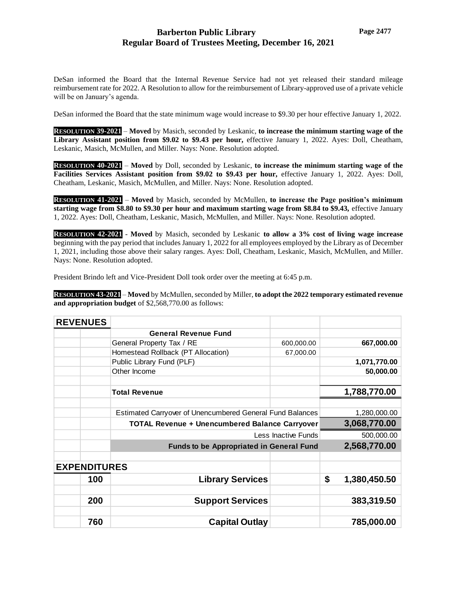DeSan informed the Board that the Internal Revenue Service had not yet released their standard mileage reimbursement rate for 2022. A Resolution to allow for the reimbursement of Library-approved use of a private vehicle will be on January's agenda.

DeSan informed the Board that the state minimum wage would increase to \$9.30 per hour effective January 1, 2022.

**RESOLUTION 39-2021** – **Moved** by Masich, seconded by Leskanic, **to increase the minimum starting wage of the Library Assistant position from \$9.02 to \$9.43 per hour,** effective January 1, 2022. Ayes: Doll, Cheatham, Leskanic, Masich, McMullen, and Miller. Nays: None. Resolution adopted.

**RESOLUTION 40-2021** – **Moved** by Doll, seconded by Leskanic, **to increase the minimum starting wage of the Facilities Services Assistant position from \$9.02 to \$9.43 per hour,** effective January 1, 2022. Ayes: Doll, Cheatham, Leskanic, Masich, McMullen, and Miller. Nays: None. Resolution adopted.

**RESOLUTION 41-2021** – **Moved** by Masich, seconded by McMullen, **to increase the Page position's minimum starting wage from \$8.80 to \$9.30 per hour and maximum starting wage from \$8.84 to \$9.43,** effective January 1, 2022. Ayes: Doll, Cheatham, Leskanic, Masich, McMullen, and Miller. Nays: None. Resolution adopted.

**RESOLUTION 42-2021** - **Moved** by Masich, seconded by Leskanic **to allow a 3% cost of living wage increase** beginning with the pay period that includes January 1, 2022 for all employees employed by the Library as of December 1, 2021, including those above their salary ranges. Ayes: Doll, Cheatham, Leskanic, Masich, McMullen, and Miller. Nays: None. Resolution adopted.

President Brindo left and Vice-President Doll took order over the meeting at 6:45 p.m.

**RESOLUTION 43-2021** – **Moved** by McMullen, seconded by Miller, **to adopt the 2022 temporary estimated revenue and appropriation budget** of \$2,568,770.00 as follows:

| <b>REVENUES</b>     |                                                           |            |                    |
|---------------------|-----------------------------------------------------------|------------|--------------------|
|                     | <b>General Revenue Fund</b>                               |            |                    |
|                     | General Property Tax / RE                                 | 600,000.00 | 667,000.00         |
|                     | Homestead Rollback (PT Allocation)                        | 67,000.00  |                    |
|                     | Public Library Fund (PLF)                                 |            | 1,071,770.00       |
|                     | Other Income                                              |            | 50,000.00          |
|                     |                                                           |            |                    |
|                     | <b>Total Revenue</b>                                      |            | 1,788,770.00       |
|                     |                                                           |            |                    |
|                     | Estimated Carryover of Unencumbered General Fund Balances |            | 1,280,000.00       |
|                     | <b>TOTAL Revenue + Unencumbered Balance Carryover</b>     |            | 3,068,770.00       |
|                     | Less Inactive Funds                                       |            | 500,000.00         |
|                     | <b>Funds to be Appropriated in General Fund</b>           |            | 2,568,770.00       |
|                     |                                                           |            |                    |
| <b>EXPENDITURES</b> |                                                           |            |                    |
| 100                 | <b>Library Services</b>                                   |            | \$<br>1,380,450.50 |
|                     |                                                           |            |                    |
| 200                 | <b>Support Services</b>                                   |            | 383,319.50         |
|                     |                                                           |            |                    |
| 760                 | <b>Capital Outlay</b>                                     |            | 785,000.00         |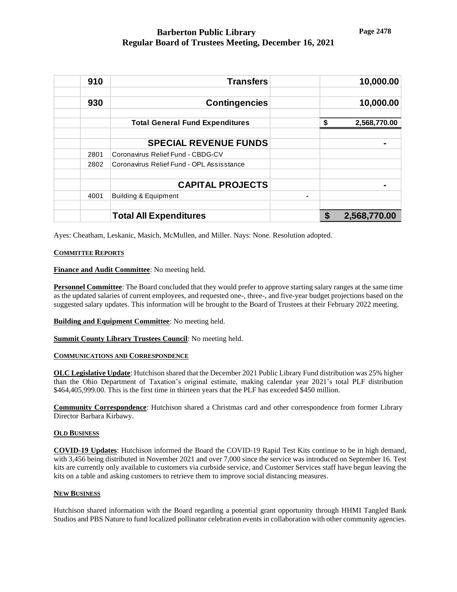| 910  | <b>Transfers</b>                          | 10,000.00          |
|------|-------------------------------------------|--------------------|
| 930  | <b>Contingencies</b>                      | 10,000.00          |
|      | <b>Total General Fund Expenditures</b>    | \$<br>2,568,770.00 |
|      | <b>SPECIAL REVENUE FUNDS</b>              |                    |
| 2801 | Coronavirus Relief Fund - CBDG-CV         |                    |
| 2802 | Coronavirus Relief Fund - OPL Assisstance |                    |
|      | <b>CAPITAL PROJECTS</b>                   |                    |
| 4001 | <b>Building &amp; Equipment</b>           | $\blacksquare$     |
|      | <b>Total All Expenditures</b>             | S<br>2,568,770.00  |

Ayes: Cheatham, Leskanic, Masich, McMullen, and Miller. Nays: None. Resolution adopted.

### **COMMITTEE REPORTS**

**Finance and Audit Committee**: No meeting held.

**Personnel Committee**: The Board concluded that they would prefer to approve starting salary ranges at the same time as the updated salaries of current employees, and requested one-, three-, and five-year budget projections based on the suggested salary updates. This information will be brought to the Board of Trustees at their February 2022 meeting.

**Building and Equipment Committee**: No meeting held.

**Summit County Library Trustees Council**: No meeting held.

### **COMMUNICATIONS AND CORRESPONDENCE**

**OLC Legislative Update**: Hutchison shared that the December 2021 Public Library Fund distribution was 25% higher than the Ohio Department of Taxation's original estimate, making calendar year 2021's total PLF distribution \$464,405,999.00. This is the first time in thirteen years that the PLF has exceeded \$450 million.

**Community Correspondence**: Hutchison shared a Christmas card and other correspondence from former Library Director Barbara Kirbawy.

### **OLD BUSINESS**

**COVID-19 Updates**: Hutchison informed the Board the COVID-19 Rapid Test Kits continue to be in high demand, with 3,456 being distributed in November 2021 and over 7,000 since the service was introduced on September 16*.* Test kits are currently only available to customers via curbside service, and Customer Services staff have begun leaving the kits on a table and asking customers to retrieve them to improve social distancing measures.

### **NEW BUSINESS**

Hutchison shared information with the Board regarding a potential grant opportunity through HHMI Tangled Bank Studios and PBS Nature to fund localized pollinator celebration events in collaboration with other community agencies.